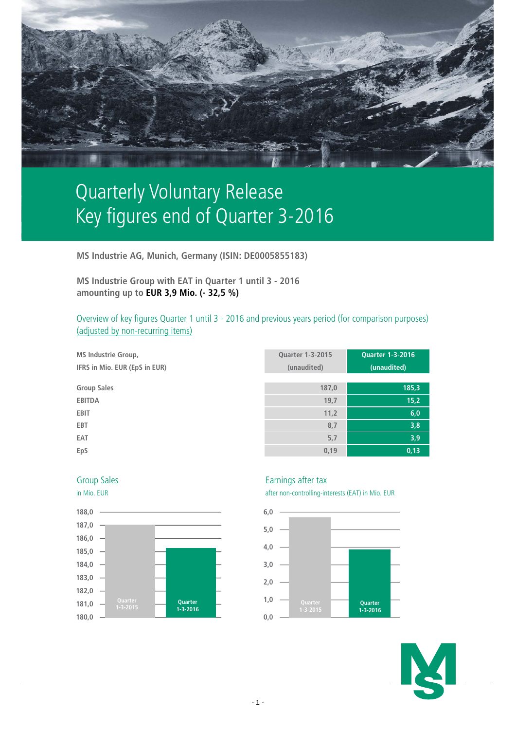

# Quarterly Voluntary Release Key figures end of Quarter 3-2016

**MS Industrie AG, Munich, Germany (ISIN: DE0005855183)**

**MS Industrie Group with EAT in Quarter 1 until 3 - 2016 amounting up to EUR 3,9 Mio. (- 32,5 %)**

Overview of key figures Quarter 1 until 3 - 2016 and previous years period (for comparison purposes) (adjusted by non-recurring items)

| <b>MS Industrie Group,</b><br>IFRS in Mio. EUR (EpS in EUR) | <b>Quarter 1-3-2015</b><br>(unaudited) | <b>Quarter 1-3-2016</b><br>(unaudited) |
|-------------------------------------------------------------|----------------------------------------|----------------------------------------|
| <b>Group Sales</b>                                          | 187,0                                  | 185,3                                  |
| <b>EBITDA</b>                                               | 19,7                                   | 15,2                                   |
| <b>EBIT</b>                                                 | 11,2                                   | 6,0                                    |
| <b>EBT</b>                                                  | 8,7                                    | 3,8                                    |
| EAT                                                         | 5,7                                    | 3,9                                    |
| EpS                                                         | 0,19                                   | 0,13                                   |





# Group Sales **Earnings** after tax

in Mio. EUR after non-controlling-interests (EAT) in Mio. EUR



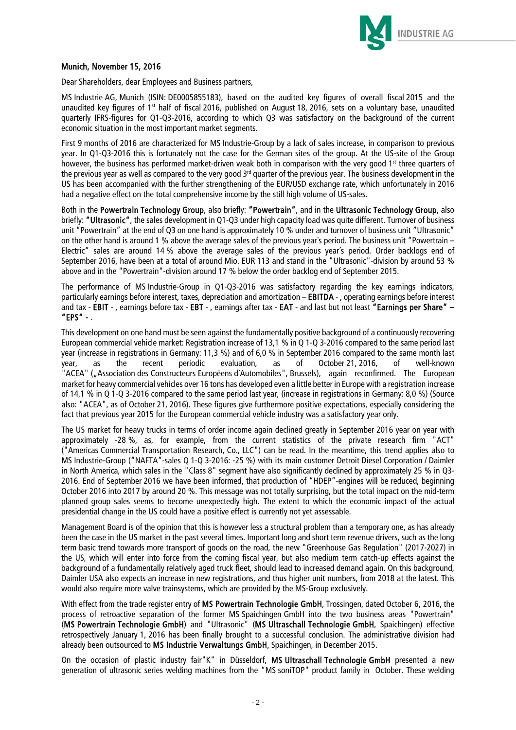

# Munich, November 15, 2016

Dear Shareholders, dear Employees and Business partners,

MS Industrie AG, Munich (ISIN: DE0005855183), based on the audited key figures of overall fiscal 2015 and the unaudited key figures of 1<sup>st</sup> half of fiscal 2016, published on August 18, 2016, sets on a voluntary base, unaudited quarterly IFRS-figures for Q1-Q3-2016, according to which Q3 was satisfactory on the background of the current economic situation in the most important market segments.

First 9 months of 2016 are characterized for MS Industrie-Group by a lack of sales increase, in comparison to previous year. In Q1-Q3-2016 this is fortunately not the case for the German sites of the group. At the US-site of the Group however, the business has performed market-driven weak both in comparison with the very good 1<sup>st</sup> three quarters of the previous year as well as compared to the very good  $3<sup>rd</sup>$  quarter of the previous year. The business development in the US has been accompanied with the further strengthening of the EUR/USD exchange rate, which unfortunately in 2016 had a negative effect on the total comprehensive income by the still high volume of US-sales.

Both in the Powertrain Technology Group, also briefly: "Powertrain", and in the Ultrasonic Technology Group, also briefly: "Ultrasonic", the sales development in Q1-Q3 under high capacity load was quite different. Turnover of business unit "Powertrain" at the end of Q3 on one hand is approximately 10 % under and turnover of business unit "Ultrasonic" on the other hand is around 1 % above the average sales of the previous year´s period. The business unit "Powertrain – Electric" sales are around 14 % above the average sales of the previous year´s period. Order backlogs end of September 2016, have been at a total of around Mio. EUR 113 and stand in the "Ultrasonic"-division by around 53 % above and in the "Powertrain"-division around 17 % below the order backlog end of September 2015.

The performance of MS Industrie-Group in Q1-Q3-2016 was satisfactory regarding the key earnings indicators, particularly earnings before interest, taxes, depreciation and amortization - EBITDA -, operating earnings before interest and tax - EBIT -, earnings before tax - EBT -, earnings after tax - EAT - and last but not least "Earnings per Share" – "EPS" - .

This development on one hand must be seen against the fundamentally positive background of a continuously recovering European commercial vehicle market: Registration increase of 13,1 % in Q 1-Q 3-2016 compared to the same period last year (increase in registrations in Germany: 11,3 %) and of 6,0 % in September 2016 compared to the same month last year, as the recent periodic evaluation, as of October 21, 2016, of well-known "ACEA" ("Association des Constructeurs Européens d'Automobiles", Brussels), again reconfirmed. The European market for heavy commercial vehicles over 16 tons has developed even a little better in Europe with a registration increase of 14,1 % in Q 1-Q 3-2016 compared to the same period last year, (increase in registrations in Germany: 8,0 %) (Source also: "ACEA", as of October 21, 2016). These figures give furthermore positive expectations, especially considering the fact that previous year 2015 for the European commercial vehicle industry was a satisfactory year only.

The US market for heavy trucks in terms of order income again declined greatly in September 2016 year on year with approximately -28 %, as, for example, from the current statistics of the private research firm "ACT" ("Americas Commercial Transportation Research, Co., LLC") can be read. In the meantime, this trend applies also to MS Industrie-Group ("NAFTA"-sales Q 1-Q 3-2016: -25 %) with its main customer Detroit Diesel Corporation / Daimler in North America, which sales in the "Class 8" segment have also significantly declined by approximately 25 % in Q3- 2016. End of September 2016 we have been informed, that production of "HDEP"-engines will be reduced, beginning October 2016 into 2017 by around 20 %. This message was not totally surprising, but the total impact on the mid-term planned group sales seems to become unexpectedly high. The extent to which the economic impact of the actual presidential change in the US could have a positive effect is currently not yet assessable.

Management Board is of the opinion that this is however less a structural problem than a temporary one, as has already been the case in the US market in the past several times. Important long and short term revenue drivers, such as the long term basic trend towards more transport of goods on the road, the new "Greenhouse Gas Regulation" (2017-2027) in the US, which will enter into force from the coming fiscal year, but also medium term catch-up effects against the background of a fundamentally relatively aged truck fleet, should lead to increased demand again. On this background, Daimler USA also expects an increase in new registrations, and thus higher unit numbers, from 2018 at the latest. This would also require more valve trainsystems, which are provided by the MS-Group exclusively.

With effect from the trade register entry of MS Powertrain Technologie GmbH, Trossingen, dated October 6, 2016, the process of retroactive separation of the former MS Spaichingen GmbH into the two business areas "Powertrain" (MS Powertrain Technologie GmbH) and "Ultrasonic" (MS Ultraschall Technologie GmbH, Spaichingen) effective retrospectively January 1, 2016 has been finally brought to a successful conclusion. The administrative division had already been outsourced to MS Industrie Verwaltungs GmbH, Spaichingen, in December 2015.

On the occasion of plastic industry fair"K" in Düsseldorf, MS Ultraschall Technologie GmbH presented a new generation of ultrasonic series welding machines from the "MS soniTOP" product family in October. These welding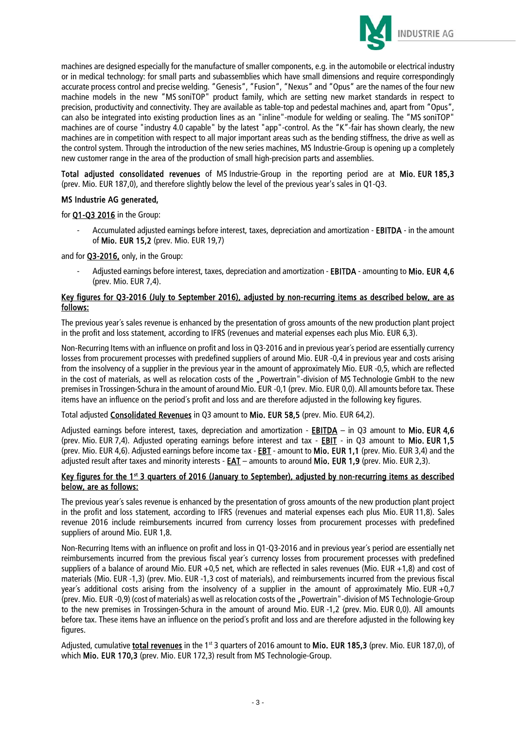

machines are designed especially for the manufacture of smaller components, e.g. in the automobile or electrical industry or in medical technology: for small parts and subassemblies which have small dimensions and require correspondingly accurate process control and precise welding. "Genesis", "Fusion", "Nexus" and "Opus" are the names of the four new machine models in the new "MS soniTOP" product family, which are setting new market standards in respect to precision, productivity and connectivity. They are available as table-top and pedestal machines and, apart from "Opus", can also be integrated into existing production lines as an "inline"-module for welding or sealing. The "MS soniTOP" machines are of course "industry 4.0 capable" by the latest "app"-control. As the "K"-fair has shown clearly, the new machines are in competition with respect to all major important areas such as the bending stiffness, the drive as well as the control system. Through the introduction of the new series machines, MS Industrie-Group is opening up a completely new customer range in the area of the production of small high-precision parts and assemblies.

Total adjusted consolidated revenues of MS Industrie-Group in the reporting period are at Mio. EUR 185,3 (prev. Mio. EUR 187,0), and therefore slightly below the level of the previous year's sales in Q1-Q3.

### MS Industrie AG generated,

for Q1-Q3 2016 in the Group:

Accumulated adjusted earnings before interest, taxes, depreciation and amortization - EBITDA - in the amount of Mio. EUR 15,2 (prev. Mio. EUR 19,7)

and for Q3-2016, only, in the Group:

Adjusted earnings before interest, taxes, depreciation and amortization - EBITDA - amounting to Mio. EUR 4,6 (prev. Mio. EUR 7,4).

#### Key figures for Q3-2016 (July to September 2016), adjusted by non-recurring items as described below, are as follows:

The previous year´s sales revenue is enhanced by the presentation of gross amounts of the new production plant project in the profit and loss statement, according to IFRS (revenues and material expenses each plus Mio. EUR 6,3).

Non-Recurring Items with an influence on profit and loss in Q3-2016 and in previous year´s period are essentially currency losses from procurement processes with predefined suppliers of around Mio. EUR -0,4 in previous year and costs arising from the insolvency of a supplier in the previous year in the amount of approximately Mio. EUR -0,5, which are reflected in the cost of materials, as well as relocation costs of the "Powertrain"-division of MS Technologie GmbH to the new premises in Trossingen-Schura in the amount of around Mio. EUR -0,1 (prev. Mio. EUR 0,0). All amounts before tax. These items have an influence on the period´s profit and loss and are therefore adjusted in the following key figures.

Total adjusted Consolidated Revenues in Q3 amount to Mio. EUR 58,5 (prev. Mio. EUR 64,2).

Adjusted earnings before interest, taxes, depreciation and amortization - **EBITDA** – in Q3 amount to Mio. EUR 4,6 (prev. Mio. EUR 7,4). Adjusted operating earnings before interest and tax - **EBIT** - in Q3 amount to Mio. EUR 1,5 (prev. Mio. EUR 4,6). Adjusted earnings before income tax - EBT - amount to Mio. EUR 1,1 (prev. Mio. EUR 3,4) and the adjusted result after taxes and minority interests - EAT – amounts to around Mio. EUR 1,9 (prev. Mio. EUR 2,3).

#### Key figures for the 1<sup>st</sup> 3 quarters of 2016 (January to September), adjusted by non-recurring items as described below, are as follows:

The previous year´s sales revenue is enhanced by the presentation of gross amounts of the new production plant project in the profit and loss statement, according to IFRS (revenues and material expenses each plus Mio. EUR 11,8). Sales revenue 2016 include reimbursements incurred from currency losses from procurement processes with predefined suppliers of around Mio. EUR 1,8.

Non-Recurring Items with an influence on profit and loss in Q1-Q3-2016 and in previous year´s period are essentially net reimbursements incurred from the previous fiscal year´s currency losses from procurement processes with predefined suppliers of a balance of around Mio. EUR +0,5 net, which are reflected in sales revenues (Mio. EUR +1,8) and cost of materials (Mio. EUR -1,3) (prev. Mio. EUR -1,3 cost of materials), and reimbursements incurred from the previous fiscal year´s additional costs arising from the insolvency of a supplier in the amount of approximately Mio. EUR +0,7 (prev. Mio. EUR -0,9) (cost of materials) as well as relocation costs of the "Powertrain"-division of MS Technologie-Group to the new premises in Trossingen-Schura in the amount of around Mio. EUR -1,2 (prev. Mio. EUR 0,0). All amounts before tax. These items have an influence on the period´s profit and loss and are therefore adjusted in the following key figures.

Adjusted, cumulative total revenues in the 1<sup>st</sup> 3 quarters of 2016 amount to Mio. EUR 185.3 (prev. Mio. EUR 187.0), of which Mio. EUR 170,3 (prev. Mio. EUR 172,3) result from MS Technologie-Group.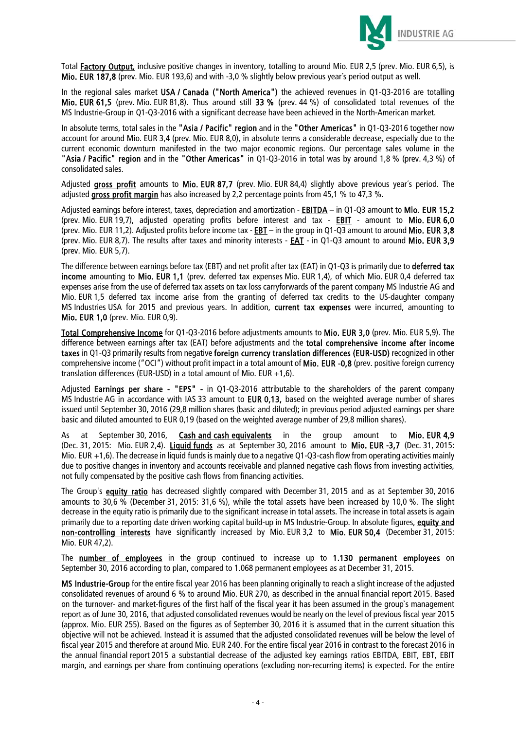

Total Factory Output, inclusive positive changes in inventory, totalling to around Mio. EUR 2,5 (prev. Mio. EUR 6,5), is Mio. EUR 187,8 (prev. Mio. EUR 193,6) and with -3,0 % slightly below previous year´s period output as well.

In the regional sales market USA / Canada ("North America") the achieved revenues in 01-03-2016 are totalling Mio. EUR 61,5 (prev. Mio. EUR 81,8). Thus around still 33 % (prev. 44 %) of consolidated total revenues of the MS Industrie-Group in Q1-Q3-2016 with a significant decrease have been achieved in the North-American market.

In absolute terms, total sales in the "Asia / Pacific" region and in the "Other Americas" in Q1-Q3-2016 together now account for around Mio. EUR 3,4 (prev. Mio. EUR 8,0), in absolute terms a considerable decrease, especially due to the current economic downturn manifested in the two major economic regions. Our percentage sales volume in the "Asia / Pacific" region and in the "Other Americas" in Q1-Q3-2016 in total was by around 1,8 % (prev. 4,3 %) of consolidated sales.

Adjusted gross profit amounts to Mio. EUR 87,7 (prev. Mio. EUR 84,4) slightly above previous year's period. The adjusted gross profit margin has also increased by 2,2 percentage points from 45,1 % to 47,3 %.

Adjusted earnings before interest, taxes, depreciation and amortization - **EBITDA** - in Q1-Q3 amount to Mio. EUR 15,2 (prev. Mio. EUR 19,7), adjusted operating profits before interest and tax - **EBIT** - amount to Mio. EUR 6,0 (prev. Mio. EUR 11,2). Adjusted profits before income tax - **EBT** – in the group in Q1-Q3 amount to around Mio. EUR 3,8 (prev. Mio. EUR 8,7). The results after taxes and minority interests - EAT - in Q1-Q3 amount to around Mio. EUR 3,9 (prev. Mio. EUR 5,7).

The difference between earnings before tax (EBT) and net profit after tax (EAT) in Q1-Q3 is primarily due to deferred tax income amounting to Mio. EUR 1,1 (prev. deferred tax expenses Mio. EUR 1,4), of which Mio. EUR 0,4 deferred tax expenses arise from the use of deferred tax assets on tax loss carryforwards of the parent company MS Industrie AG and Mio. EUR 1,5 deferred tax income arise from the granting of deferred tax credits to the US-daughter company MS Industries USA for 2015 and previous years. In addition, current tax expenses were incurred, amounting to Mio. EUR 1,0 (prev. Mio. EUR 0,9).

Total Comprehensive Income for Q1-Q3-2016 before adjustments amounts to Mio. EUR 3,0 (prev. Mio. EUR 5,9). The difference between earnings after tax (EAT) before adjustments and the total comprehensive income after income taxes in Q1-Q3 primarily results from negative foreign currency translation differences (EUR-USD) recognized in other comprehensive income ("OCI") without profit impact in a total amount of Mio. EUR -0,8 (prev. positive foreign currency translation differences (EUR-USD) in a total amount of Mio. EUR +1,6).

Adjusted **Earnings per share - "EPS"** - in Q1-Q3-2016 attributable to the shareholders of the parent company MS Industrie AG in accordance with IAS 33 amount to EUR 0,13, based on the weighted average number of shares issued until September 30, 2016 (29,8 million shares (basic and diluted); in previous period adjusted earnings per share basic and diluted amounted to EUR 0,19 (based on the weighted average number of 29,8 million shares).

As at September 30, 2016, Cash and cash equivalents in the group amount to Mio. EUR 4,9 (Dec. 31, 2015: Mio. EUR 2,4). Liquid funds as at September 30, 2016 amount to Mio. EUR -3,7 (Dec. 31, 2015: Mio. EUR +1,6). The decrease in liquid funds is mainly due to a negative Q1-Q3-cash flow from operating activities mainly due to positive changes in inventory and accounts receivable and planned negative cash flows from investing activities, not fully compensated by the positive cash flows from financing activities.

The Group's equity ratio has decreased slightly compared with December 31, 2015 and as at September 30, 2016 amounts to 30,6 % (December 31, 2015: 31,6 %), while the total assets have been increased by 10,0 %. The slight decrease in the equity ratio is primarily due to the significant increase in total assets. The increase in total assets is again primarily due to a reporting date driven working capital build-up in MS Industrie-Group. In absolute figures, equity and non-controlling interests have significantly increased by Mio. EUR 3,2 to Mio. EUR 50,4 (December 31, 2015: Mio. EUR 47,2).

The number of employees in the group continued to increase up to 1.130 permanent employees on September 30, 2016 according to plan, compared to 1.068 permanent employees as at December 31, 2015.

MS Industrie-Group for the entire fiscal year 2016 has been planning originally to reach a slight increase of the adjusted consolidated revenues of around 6 % to around Mio. EUR 270, as described in the annual financial report 2015. Based on the turnover- and market-figures of the first half of the fiscal year it has been assumed in the group`s management report as of June 30, 2016, that adjusted consolidated revenues would be nearly on the level of previous fiscal year 2015 (approx. Mio. EUR 255). Based on the figures as of September 30, 2016 it is assumed that in the current situation this objective will not be achieved. Instead it is assumed that the adjusted consolidated revenues will be below the level of fiscal year 2015 and therefore at around Mio. EUR 240. For the entire fiscal year 2016 in contrast to the forecast 2016 in the annual financial report 2015 a substantial decrease of the adjusted key earnings ratios EBITDA, EBIT, EBT, EBIT margin, and earnings per share from continuing operations (excluding non-recurring items) is expected. For the entire